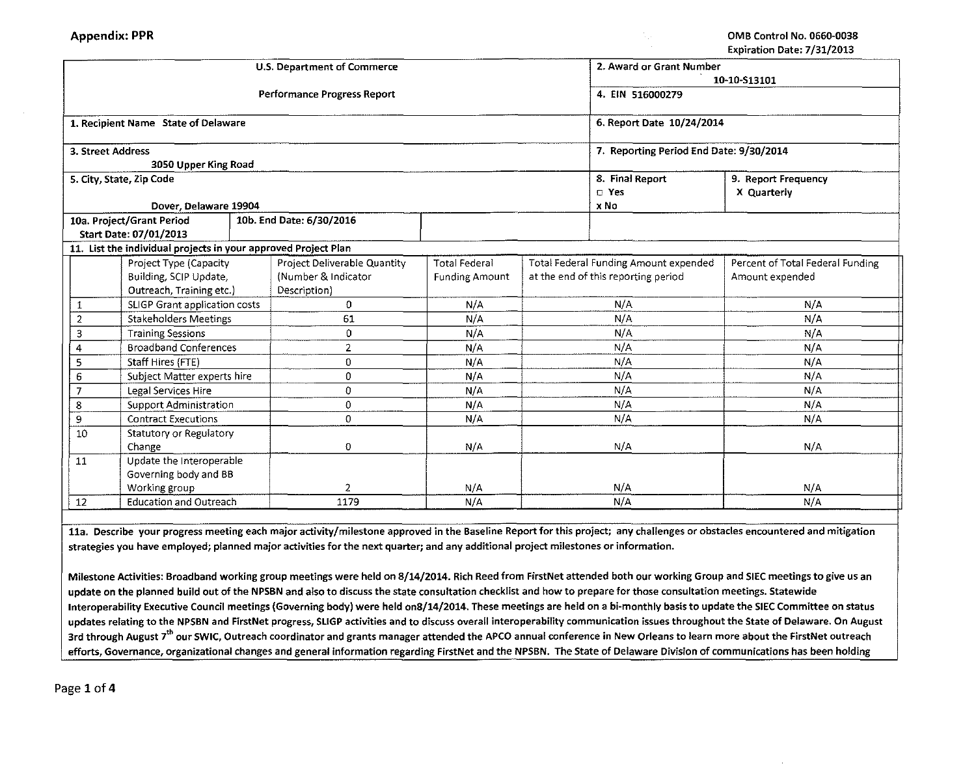|                                     |                                                                |          | U.S. Department of Commerce        | 2. Award or Grant Number |                                       |                                         |                                  |  |  |  |
|-------------------------------------|----------------------------------------------------------------|----------|------------------------------------|--------------------------|---------------------------------------|-----------------------------------------|----------------------------------|--|--|--|
|                                     |                                                                |          |                                    | 10-10-S13101             |                                       |                                         |                                  |  |  |  |
|                                     |                                                                |          | <b>Performance Progress Report</b> | 4. EIN 516000279         |                                       |                                         |                                  |  |  |  |
|                                     | 1. Recipient Name State of Delaware                            |          |                                    |                          |                                       | 6. Report Date 10/24/2014               |                                  |  |  |  |
| 3. Street Address                   |                                                                |          |                                    |                          |                                       | 7. Reporting Period End Date: 9/30/2014 |                                  |  |  |  |
|                                     | 3050 Upper King Road                                           |          |                                    |                          |                                       |                                         |                                  |  |  |  |
|                                     | 5. City, State, Zip Code                                       |          |                                    |                          |                                       | 8. Final Report                         | 9. Report Frequency              |  |  |  |
|                                     |                                                                |          |                                    |                          |                                       | $D$ Yes                                 | X Quarterly                      |  |  |  |
|                                     | Dover, Delaware 19904                                          |          |                                    |                          |                                       | x No                                    |                                  |  |  |  |
|                                     | 10a. Project/Grant Period                                      |          | 10b. End Date: 6/30/2016           |                          |                                       |                                         |                                  |  |  |  |
|                                     | Start Date: 07/01/2013                                         |          |                                    |                          |                                       |                                         |                                  |  |  |  |
|                                     | 11. List the individual projects in your approved Project Plan |          |                                    |                          |                                       |                                         |                                  |  |  |  |
|                                     | Project Type (Capacity                                         |          | Project Deliverable Quantity       | <b>Total Federal</b>     | Total Federal Funding Amount expended |                                         | Percent of Total Federal Funding |  |  |  |
|                                     | Building, SCIP Update,                                         |          | (Number & Indicator                | <b>Funding Amount</b>    | at the end of this reporting period   |                                         | Amount expended                  |  |  |  |
|                                     | Outreach, Training etc.)                                       |          | Description)                       |                          |                                       |                                         |                                  |  |  |  |
| 1                                   | SLIGP Grant application costs                                  |          | 0                                  | N/A                      |                                       | N/A                                     | N/A                              |  |  |  |
| $\overline{2}$                      | <b>Stakeholders Meetings</b>                                   |          | 61                                 | N/A                      | N/A                                   |                                         | N/A                              |  |  |  |
| 3                                   | <b>Training Sessions</b>                                       |          | 0                                  | N/A                      | N/A                                   |                                         | N/A                              |  |  |  |
| 4                                   | <b>Broadband Conferences</b>                                   |          | 2                                  | N/A                      | N/A                                   |                                         | N/A                              |  |  |  |
| 5                                   | Staff Hires (FTE)                                              |          | $\mathbf 0$                        | N/A                      | N/A                                   |                                         | N/A                              |  |  |  |
| Subject Matter experts hire<br>6    |                                                                |          | 0                                  | N/A                      | N/A                                   |                                         | N/A                              |  |  |  |
| Legal Services Hire                 |                                                                | $\Omega$ | N/A                                | N/A                      |                                       | N/A                                     |                                  |  |  |  |
| 8<br><b>Support Administration</b>  |                                                                | $\Omega$ | N/A                                | N/A                      |                                       | N/A                                     |                                  |  |  |  |
| 9                                   | <b>Contract Executions</b>                                     |          | $\overline{0}$                     | N/A                      | N/A                                   |                                         | N/A                              |  |  |  |
| 10<br>Statutory or Regulatory       |                                                                |          |                                    |                          |                                       |                                         |                                  |  |  |  |
|                                     | Change                                                         |          | $\Omega$                           | N/A                      | N/A                                   |                                         | N/A                              |  |  |  |
| 11                                  | Update the Interoperable                                       |          |                                    |                          |                                       |                                         |                                  |  |  |  |
|                                     | Governing body and BB                                          |          |                                    |                          |                                       |                                         |                                  |  |  |  |
|                                     | Working group                                                  |          | 2                                  | N/A                      |                                       | N/A                                     | N/A                              |  |  |  |
| <b>Education and Outreach</b><br>12 |                                                                |          | 1179                               | N/A                      |                                       | N/A                                     | N/A                              |  |  |  |

11a. Describe your progress meeting each major activity/milestone approved in the Baseline Report for this project; any challenges or obstacles encountered and mitigation strategies you have employed; planned major activities for the next quarter; and any additional project milestones or information.

Milestone Activities: Broadband working group meetings were held on 8/14/2014. Rich Reed from FirstNet attended both our working Group and SIEC meetings to give us an update on the planned build out of the NPSBN and also to discuss the state consultation checklist and how to prepare for those consultation meetings. Statewide lnteroperability Executive Council meetings (Governing body) were held onS/14/2014. These meetings are held on a bi-monthly basis to update the SIEC Committee on status updates relating to the NPSBN and FirstNet progress, SLIGP activities and to discuss overall interoperability communication issues throughout the State of Delaware. On August 3rd through August 7<sup>th</sup> our SWIC, Outreach coordinator and grants manager attended the APCO annual conference in New Orleans to learn more about the FirstNet outreach efforts, Governance, organizational changes and general information regarding FirstNet and the NPSBN. The State of Delaware Division of communications has been holding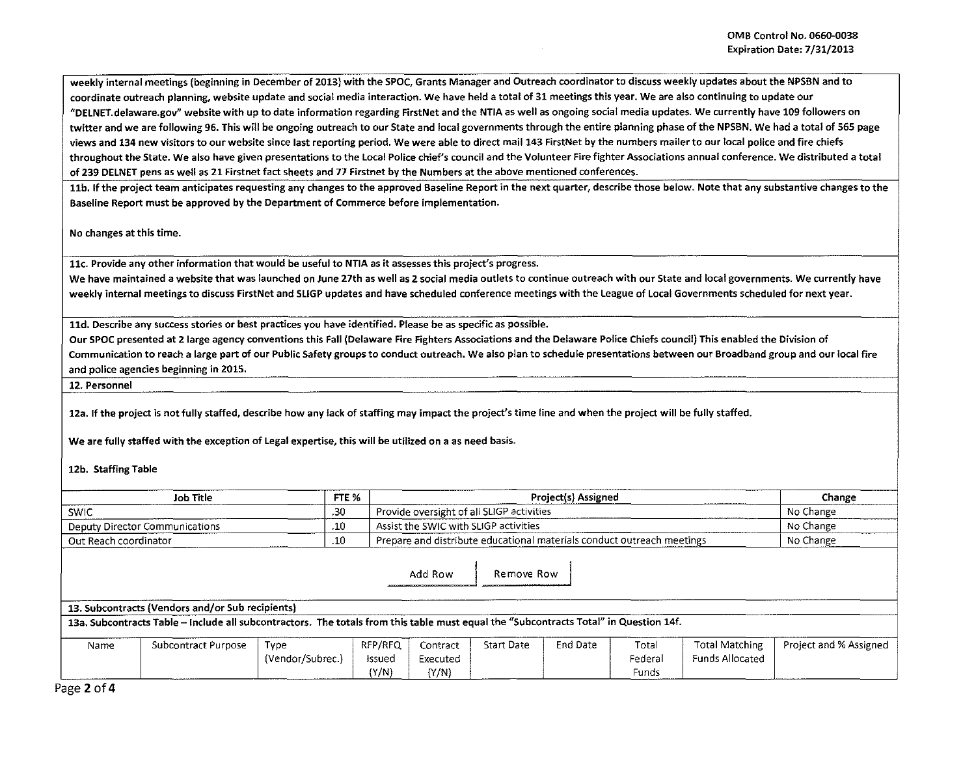weekly internal meetings (beginning in December of 2013) with the SPOC, Grants Manager and Outreach coordinator to discuss weekly updates about the NPSBN and to coordinate outreach planning, website update and social media interaction. We have held a total of 31 meetings this year. We are also continuing to update our #DELNET.delaware.gov" website with up to date information regarding FirstNet and the NTIA as well as ongoing social media updates. We currently have 109 followers on twitter and we are following 96. This will be ongoing outreach to our State and local governments through the entire planning phase of the NPSBN. We had a total of 565 page views and 134 new visitors to our website since last reporting period. We were able to direct mail 143 FirstNet by the numbers mailer to our local police and fire chiefs throughout the State. We also have given presentations to the Local Police chief's council and the Volunteer Fire fighter Associations annual conference. We distributed a total of 239 DELNET pens as well as 21 Firstnet fact sheets and 77 Firstnet by the Numbers at the above mentioned conferences.

11b. If the project team anticipates requesting any changes to the approved Baseline Report in the next quarter, describe those below. Note that any substantive changes to the Baseline Report must be approved by the Department of Commerce before implementation.

No changes at this time.

11c. Provide any other information that would be useful to NTIA as it assesses this project's progress.

We have maintained a website that was launched on June 27th as well as 2 social media outlets to continue outreach with our State and local governments. We currently have weekly internal meetings to discuss FirstNet and SLIGP updates and have scheduled conference meetings with the League of Local Governments scheduled for next year.

11d. Describe any success stories or best practices you have identified. Please be as specific as possible.

Our SPOC presented at 21arge agency conventions this Fall (Delaware Fire Fighters Associations and the Delaware Police Chiefs council} This enabled the Division of Communication to reach a large part of our Public Safety groups to conduct outreach. We also plan to schedule presentations between our Broadband group and our local fire and police agencies beginning in 2015.

12. Personnel

12a. If the project is not fully staffed, describe how any lack of staffing may impact the project's time line and when the project will be fully staffed.

We are fully staffed with the exception of Legal expertise, this will be utilized on a as need basis.

12b. Staffing Table

| FTE %<br>Job Title           |                                                                                                                                       |                  |         |                                           |                                                                        | Change    |         |                        |                        |
|------------------------------|---------------------------------------------------------------------------------------------------------------------------------------|------------------|---------|-------------------------------------------|------------------------------------------------------------------------|-----------|---------|------------------------|------------------------|
| .30<br><b>SWIC</b>           |                                                                                                                                       |                  |         | Provide oversight of all SLIGP activities |                                                                        | No Change |         |                        |                        |
|                              | Deputy Director Communications                                                                                                        | .10              |         |                                           | Assist the SWIC with SLIGP activities                                  |           |         |                        | No Change              |
| .10<br>Out Reach coordinator |                                                                                                                                       |                  |         |                                           | Prepare and distribute educational materials conduct outreach meetings |           |         |                        | No Change              |
|                              | 13. Subcontracts (Vendors and/or Sub recipients)                                                                                      |                  |         |                                           |                                                                        |           |         |                        |                        |
|                              | 13a. Subcontracts Table - Include all subcontractors. The totals from this table must equal the "Subcontracts Total" in Question 14f. |                  |         |                                           |                                                                        |           |         |                        |                        |
| Name                         | Subcontract Purpose                                                                                                                   | Type             | RFP/RFQ | Contract                                  | <b>Start Date</b>                                                      | End Date  | Total   | <b>Total Matching</b>  | Project and % Assigned |
|                              |                                                                                                                                       | (Vendor/Subrec.) | Issued  | Executed                                  |                                                                        |           | Federal | <b>Funds Allocated</b> |                        |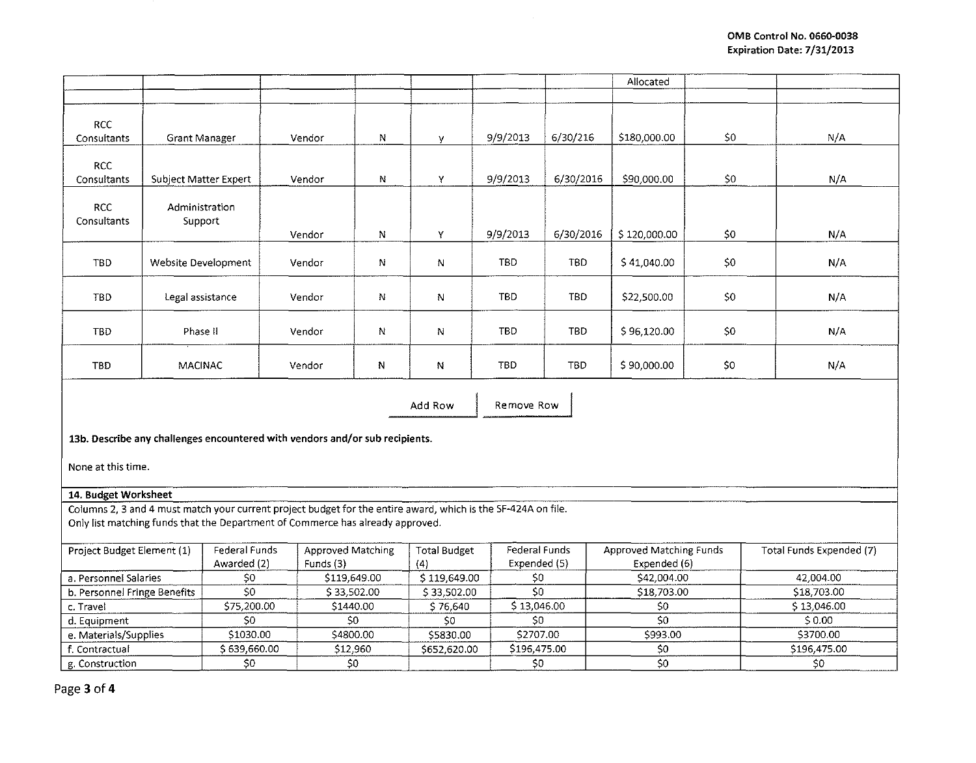|                           |                           |        |   |    |                |            | Allocated    |     |     |
|---------------------------|---------------------------|--------|---|----|----------------|------------|--------------|-----|-----|
|                           |                           |        |   |    |                |            |              |     |     |
| <b>RCC</b><br>Consultants | <b>Grant Manager</b>      | Vendor | N | V. | 9/9/2013       | 6/30/216   | \$180,000.00 | \$0 | N/A |
| <b>RCC</b><br>Consultants | Subject Matter Expert     | Vendor | N | Y  | 9/9/2013       | 6/30/2016  | \$90,000.00  | \$0 | N/A |
| <b>RCC</b><br>Consultants | Administration<br>Support | Vendor | N | Y  | 9/9/2013       | 6/30/2016  | \$120,000.00 | \$0 | N/A |
| <b>TBD</b>                | Website Development       | Vendor | N | N  | TBD.           | TBD        | \$41,040.00  | \$0 | N/A |
| TBD                       | Legal assistance          | Vendor | N | N  | TBD.           | TBD        | \$22,500.00  | \$0 | N/A |
| TBD                       | Phase II                  | Vendor | N | N  | TBD.           | <b>TBD</b> | \$96,120.00  | \$0 | N/A |
| TBD                       | MACINAC                   | Vendor | N | N  | TBD.           | <b>TBD</b> | \$90,000.00  | \$0 | N/A |
|                           |                           |        |   |    | $\overline{a}$ |            |              |     |     |

Add Row **I** Remove Row

13b. Describe any challenges encountered with vendors and/or sub recipients.

None at this time.

## 14. Budget Worksheet

Columns 2, 3 and 4 must match your current project budget for the entire award, which is the 5F-424A on file. Only list matching funds that the Department of Commerce has already approved.

| Project Budget Element (1)   | Federal Funds<br>Awarded (2) | Approved Matching<br>Funds (3) | <b>Total Budget</b><br>(4 | Federal Funds<br>Expended (5) | Approved Matching Funds<br>Expended (6) | Total Funds Expended (7) |
|------------------------------|------------------------------|--------------------------------|---------------------------|-------------------------------|-----------------------------------------|--------------------------|
| a. Personnel Salaries        |                              | \$119,649.00                   | \$119,649.00              |                               | \$42,004.00                             | 42 004 00                |
| b. Personnel Fringe Benefits | S0                           | \$33,502.00                    | \$33,502.00               |                               | \$18,703.00                             | \$18,703.00              |
| c. Travel                    | \$75,200.00                  | \$1440.00                      | \$76.640                  | \$13,046.00                   | S0.                                     | \$13,046.00              |
| d. Equipment                 |                              | S0                             |                           | S0                            | S0                                      | 50.00                    |
| e. Materials/Supplies        | \$1030.00                    | \$4800.00                      | \$5830.00                 | \$2707.00                     | \$993.00                                | \$3700.00                |
| f. Contractual               | \$639,660.00                 | \$12,960                       | \$652,620.00              | \$196,475.00                  |                                         | \$196.475.00             |
| g. Construction              |                              | S0                             |                           | S(                            | S0.                                     |                          |